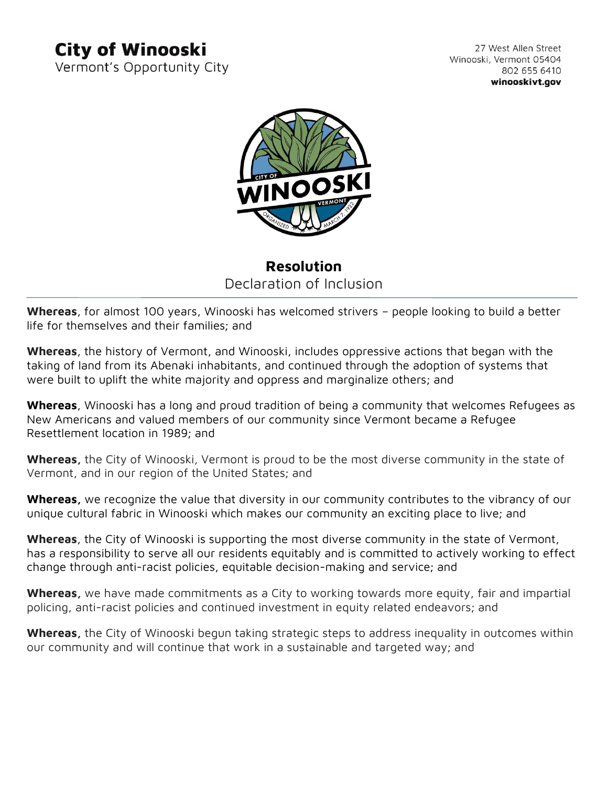## **City of Winooski**

Vermont's Opportunity City

27 West Allen Street Winooski, Vermont 05404 802 655 6410 winooskivt.gov



## **Resolution** Declaration of Inclusion

**Whereas**, for almost 100 years, Winooski has welcomed strivers – people looking to build a better life for themselves and their families; and

**Whereas**, the history of Vermont, and Winooski, includes oppressive actions that began with the taking of land from its Abenaki inhabitants, and continued through the adoption of systems that were built to uplift the white majority and oppress and marginalize others; and

**Whereas**, Winooski has a long and proud tradition of being a community that welcomes Refugees as New Americans and valued members of our community since Vermont became a Refugee Resettlement location in 1989; and

**Whereas,** the City of Winooski, Vermont is proud to be the most diverse community in the state of Vermont, and in our region of the United States; and

**Whereas,** we recognize the value that diversity in our community contributes to the vibrancy of our unique cultural fabric in Winooski which makes our community an exciting place to live; and

**Whereas**, the City of Winooski is supporting the most diverse community in the state of Vermont, has a responsibility to serve all our residents equitably and is committed to actively working to effect change through anti-racist policies, equitable decision-making and service; and

**Whereas,** we have made commitments as a City to working towards more equity, fair and impartial policing, anti-racist policies and continued investment in equity related endeavors; and

**Whereas,** the City of Winooski begun taking strategic steps to address inequality in outcomes within our community and will continue that work in a sustainable and targeted way; and